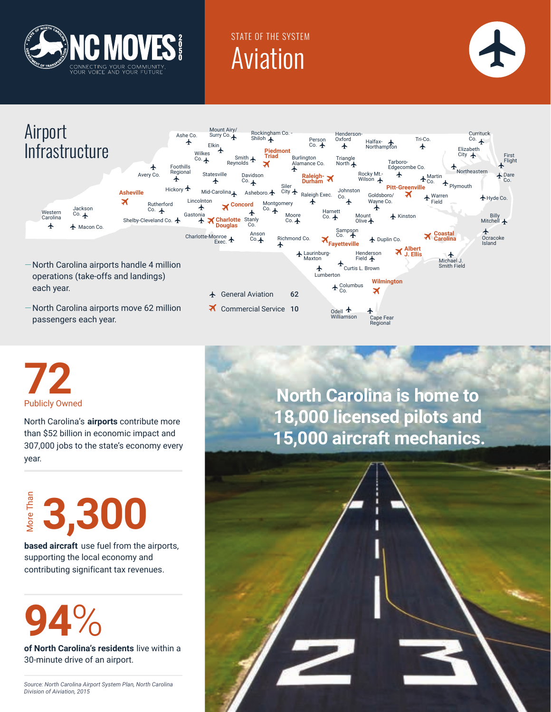

## STATE OF THE SYSTEM Aviation







North Carolina's **airports** contribute more than \$52 billion in economic impact and 307,000 jobs to the state's economy every year.

# $\frac{2}{3}$ <br>**3,300**<br>**based aircraft** use fuel from the aircraft<br>supporting the local economy and

**based aircraft** use fuel from the airports, contributing significant tax revenues.

# **94**%

**of North Carolina's residents** live within a 30-minute drive of an airport.

*Source: North Carolina Airport System Plan, North Carolina Division of Aiviation, 2015*

**North Carolina is home to 18,000 licensed pilots and 15,000 aircraft mechanics.**